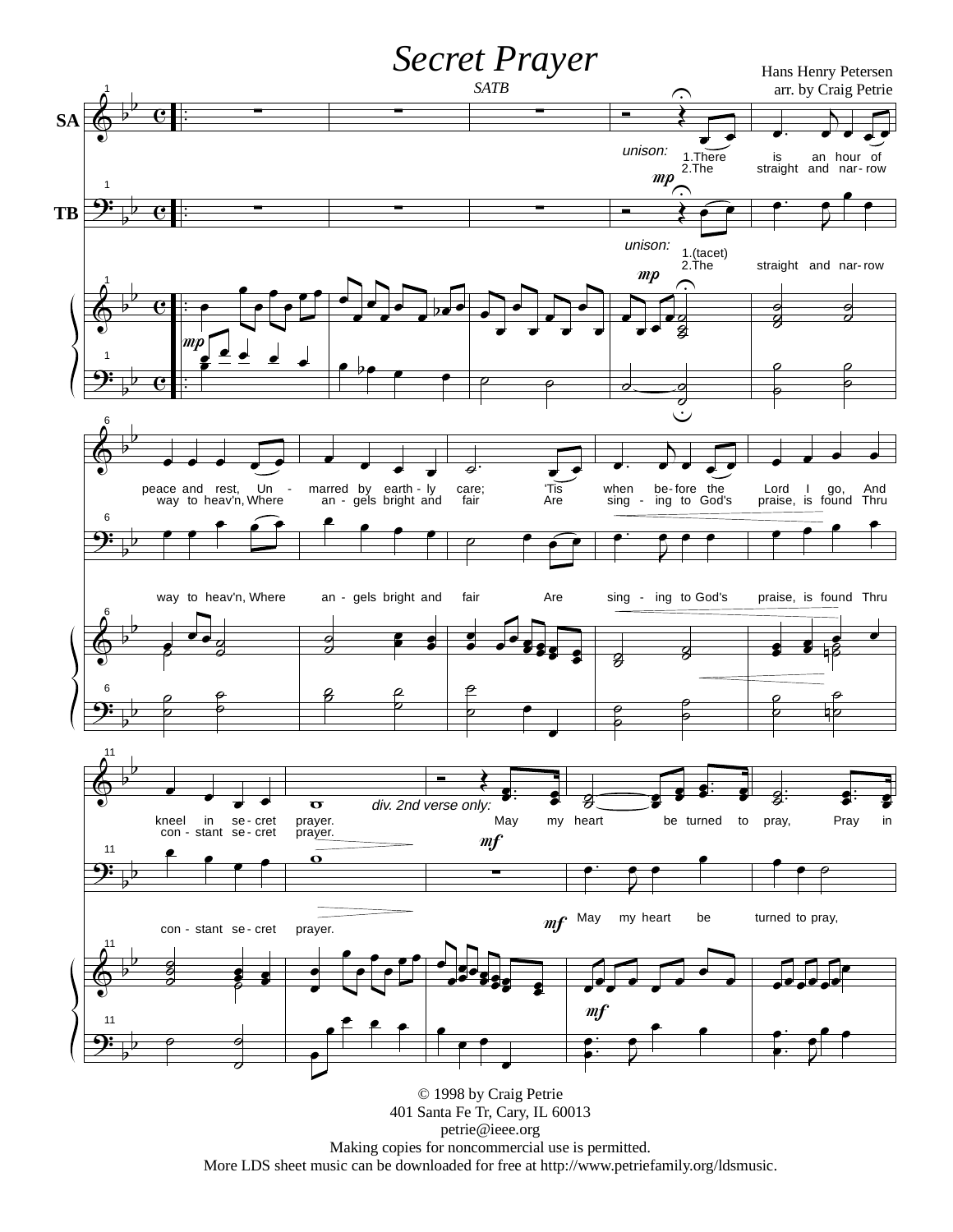

Making copies for noncommercial use is permitted.

More LDS sheet music can be downloaded for free at http://www.petriefamily.org/ldsmusic.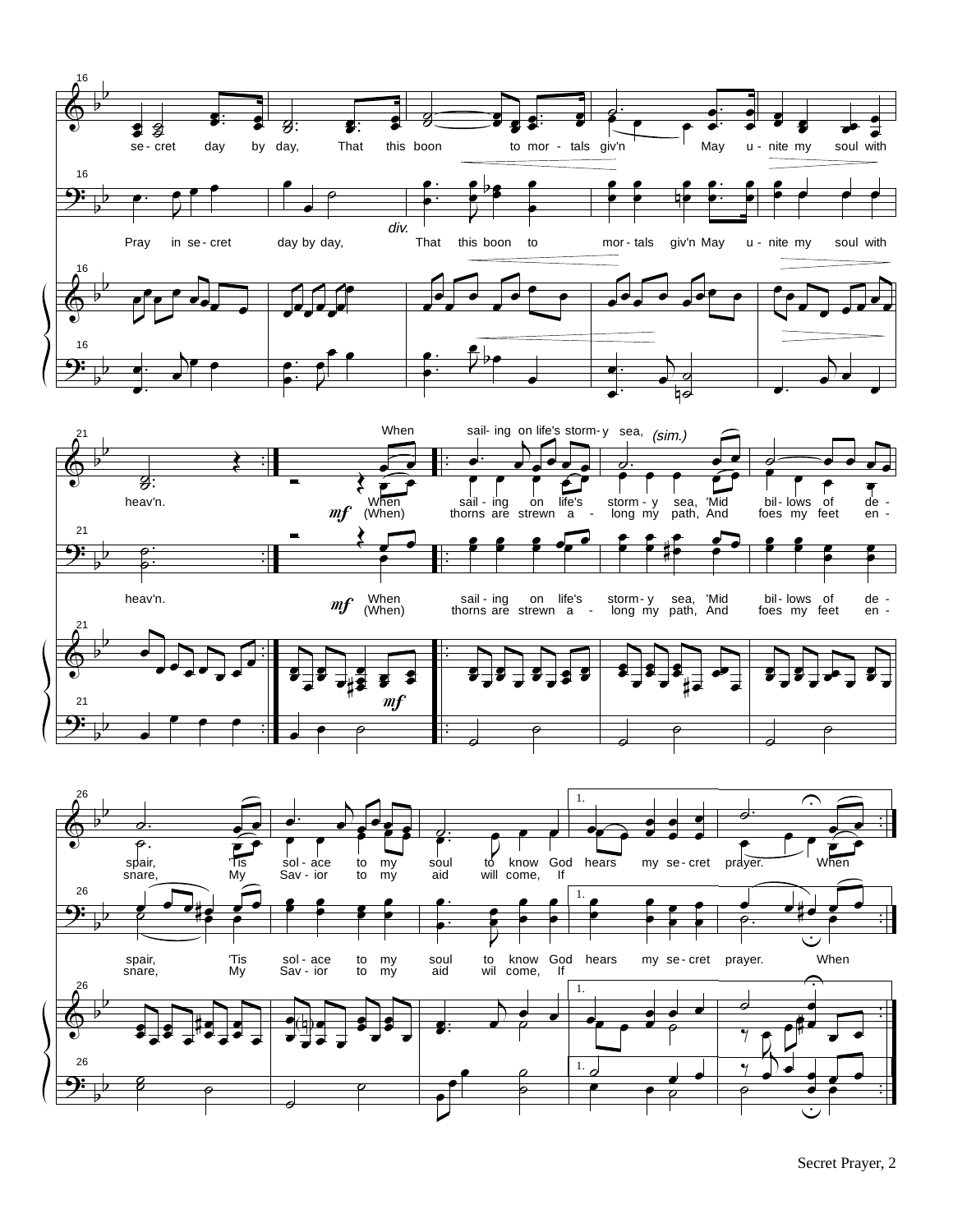





Secret Prayer, 2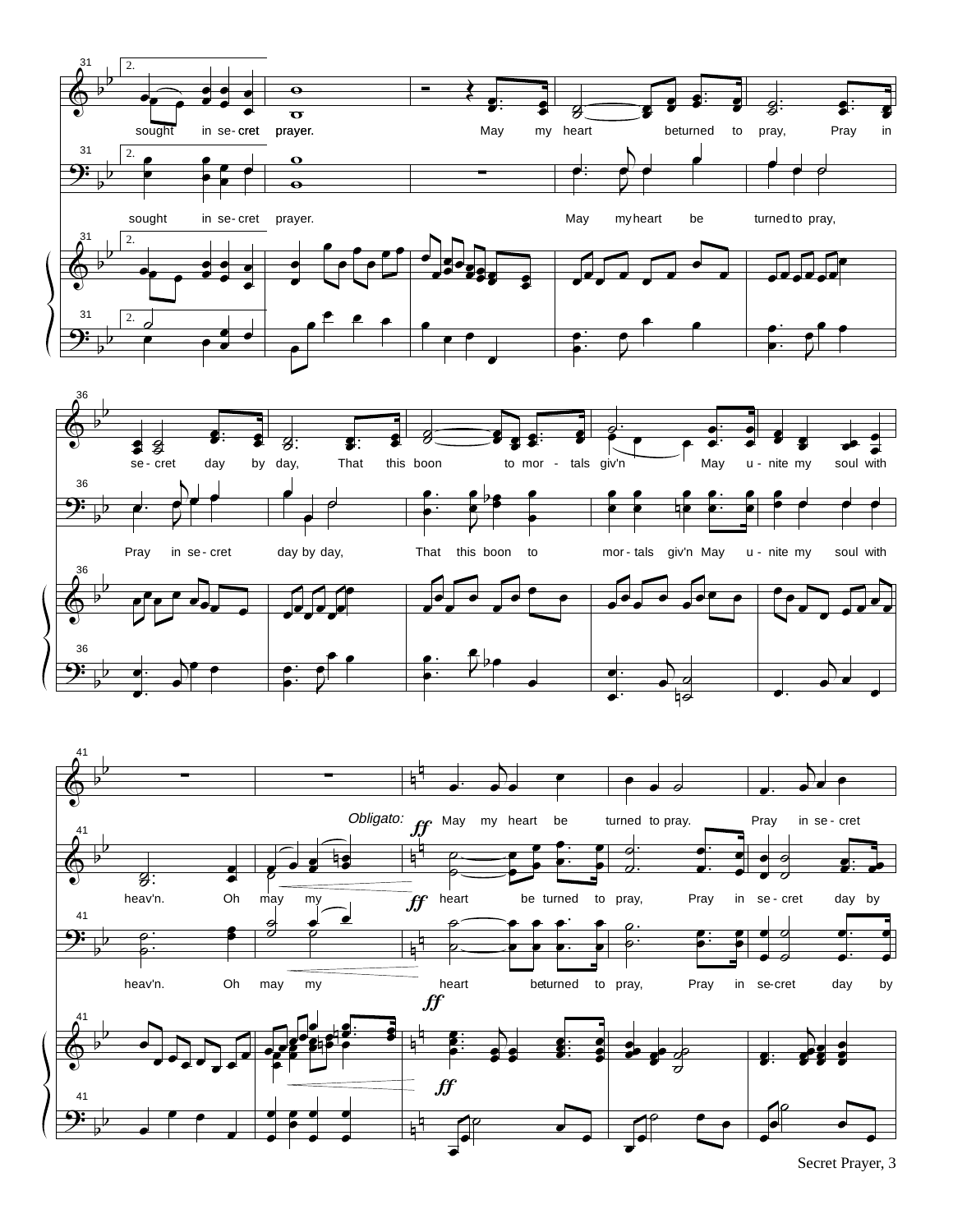